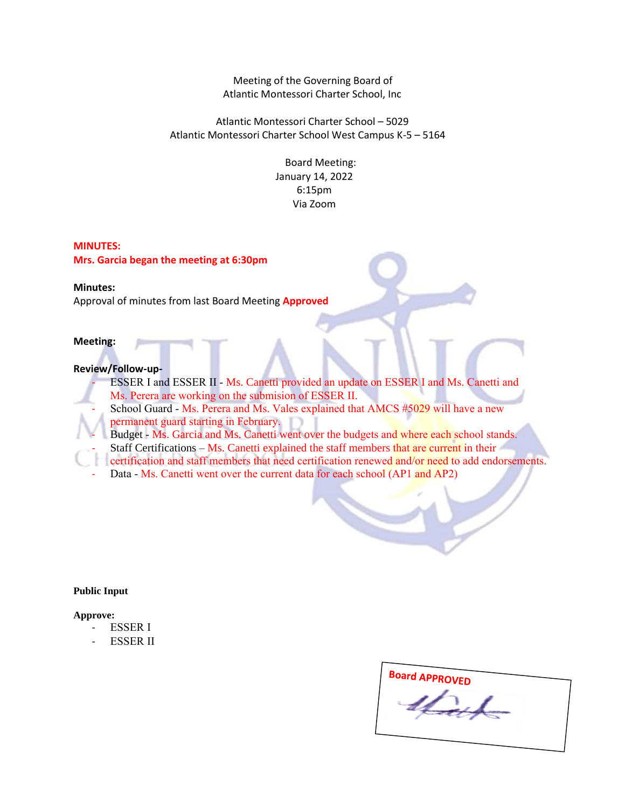Meeting of the Governing Board of Atlantic Montessori Charter School, Inc

Atlantic Montessori Charter School – 5029 Atlantic Montessori Charter School West Campus K-5 – 5164

> Board Meeting: January 14, 2022 6:15pm Via Zoom

### **MINUTES:**

**Mrs. Garcia began the meeting at 6:30pm**

# **Minutes:**

Approval of minutes from last Board Meeting **Approved**

## **Meeting:**

### **Review/Follow-up-**

ESSER I and ESSER II - Ms. Canetti provided an update on ESSER I and Ms. Canetti and Ms. Perera are working on the submision of ESSER II.

- School Guard Ms. Perera and Ms. Vales explained that AMCS #5029 will have a new permanent guard starting in February.
- Budget Ms. Garcia and Ms. Canetti went over the budgets and where each school stands.
- Staff Certifications Ms. Canetti explained the staff members that are current in their
- certification and staff members that need certification renewed and/or need to add endorsements.
- Data Ms. Canetti went over the current data for each school (AP1 and AP2)

## **Public Input**

#### **Approve:**

- ESSER I
- ESSER II